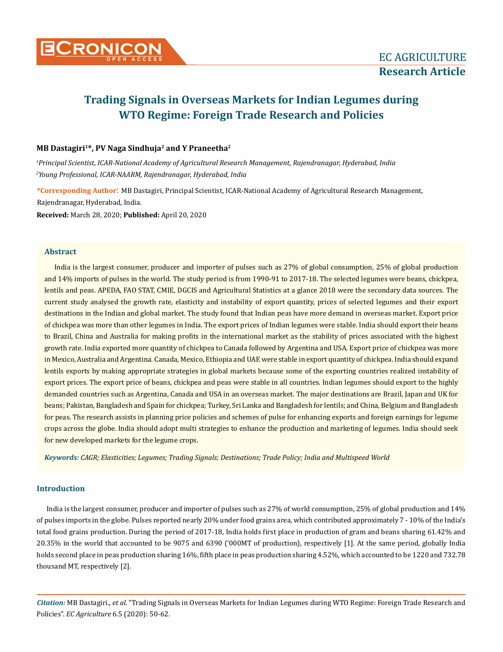

# **Trading Signals in Overseas Markets for Indian Legumes during WTO Regime: Foreign Trade Research and Policies**

# **MB Dastagiri1\*, PV Naga Sindhuja2 and Y Praneetha2**

*1 Principal Scientist, ICAR-National Academy of Agricultural Research Management, Rajendranagar, Hyderabad, India 2 Young Professional, ICAR-NAARM, Rajendranagar, Hyderabad, India*

**\*Corresponding Author**: MB Dastagiri, Principal Scientist, ICAR-National Academy of Agricultural Research Management, Rajendranagar, Hyderabad, India. **Received:** March 28, 2020; **Published:** April 20, 2020

## **Abstract**

India is the largest consumer, producer and importer of pulses such as 27% of global consumption, 25% of global production and 14% imports of pulses in the world. The study period is from 1990-91 to 2017-18. The selected legumes were beans, chickpea, lentils and peas. APEDA, FAO STAT, CMIE, DGCIS and Agricultural Statistics at a glance 2018 were the secondary data sources. The current study analysed the growth rate, elasticity and instability of export quantity, prices of selected legumes and their export destinations in the Indian and global market. The study found that Indian peas have more demand in overseas market. Export price of chickpea was more than other legumes in India. The export prices of Indian legumes were stable. India should export their beans to Brazil, China and Australia for making profits in the international market as the stability of prices associated with the highest growth rate. India exported more quantity of chickpea to Canada followed by Argentina and USA. Export price of chickpea was more in Mexico, Australia and Argentina. Canada, Mexico, Ethiopia and UAE were stable in export quantity of chickpea. India should expand lentils exports by making appropriate strategies in global markets because some of the exporting countries realized instability of export prices. The export price of beans, chickpea and peas were stable in all countries. Indian legumes should export to the highly demanded countries such as Argentina, Canada and USA in an overseas market. The major destinations are Brazil, Japan and UK for beans; Pakistan, Bangladesh and Spain for chickpea; Turkey, Sri Lanka and Bangladesh for lentils; and China, Belgium and Bangladesh for peas. The research assists in planning price policies and schemes of pulse for enhancing exports and foreign earnings for legume crops across the globe. India should adopt multi strategies to enhance the production and marketing of legumes. India should seek for new developed markets for the legume crops.

*Keywords: CAGR; Elasticities; Legumes; Trading Signals; Destinations; Trade Policy; India and Multispeed World*

# **Introduction**

India is the largest consumer, producer and importer of pulses such as 27% of world consumption, 25% of global production and 14% of pulses imports in the globe. Pulses reported nearly 20% under food grains area, which contributed approximately 7 - 10% of the India's total food grains production. During the period of 2017-18, India holds first place in production of gram and beans sharing 61.42% and 20.35% in the world that accounted to be 9075 and 6390 ('000MT of production), respectively [1]. At the same period, globally India holds second place in peas production sharing 16%, fifth place in peas production sharing 4.52%, which accounted to be 1220 and 732.78 thousand MT, respectively [2].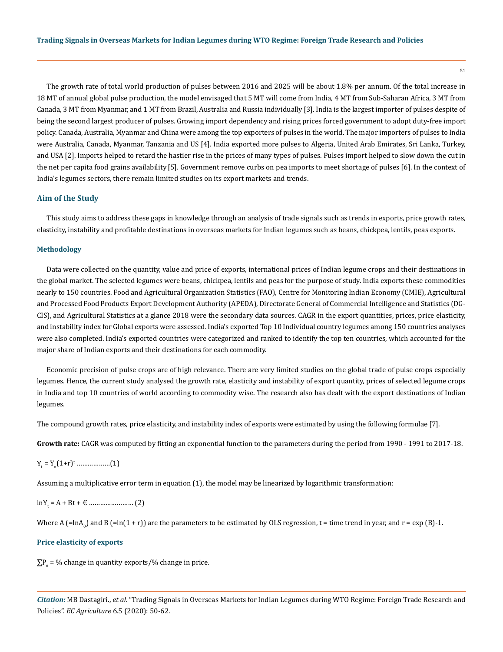The growth rate of total world production of pulses between 2016 and 2025 will be about 1.8% per annum. Of the total increase in 18 MT of annual global pulse production, the model envisaged that 5 MT will come from India, 4 MT from Sub-Saharan Africa, 3 MT from Canada, 3 MT from Myanmar, and 1 MT from Brazil, Australia and Russia individually [3]. India is the largest importer of pulses despite of being the second largest producer of pulses. Growing import dependency and rising prices forced government to adopt duty-free import policy. Canada, Australia, Myanmar and China were among the top exporters of pulses in the world. The major importers of pulses to India were Australia, Canada, Myanmar, Tanzania and US [4]. India exported more pulses to Algeria, United Arab Emirates, Sri Lanka, Turkey, and USA [2]. Imports helped to retard the hastier rise in the prices of many types of pulses. Pulses import helped to slow down the cut in the net per capita food grains availability [5]. Government remove curbs on pea imports to meet shortage of pulses [6]. In the context of India's legumes sectors, there remain limited studies on its export markets and trends.

## **Aim of the Study**

This study aims to address these gaps in knowledge through an analysis of trade signals such as trends in exports, price growth rates, elasticity, instability and profitable destinations in overseas markets for Indian legumes such as beans, chickpea, lentils, peas exports.

#### **Methodology**

Data were collected on the quantity, value and price of exports, international prices of Indian legume crops and their destinations in the global market. The selected legumes were beans, chickpea, lentils and peas for the purpose of study. India exports these commodities nearly to 150 countries. Food and Agricultural Organization Statistics (FAO), Centre for Monitoring Indian Economy (CMIE), Agricultural and Processed Food Products Export Development Authority (APEDA), Directorate General of Commercial Intelligence and Statistics (DG-CIS), and Agricultural Statistics at a glance 2018 were the secondary data sources. CAGR in the export quantities, prices, price elasticity, and instability index for Global exports were assessed. India's exported Top 10 Individual country legumes among 150 countries analyses were also completed. India's exported countries were categorized and ranked to identify the top ten countries, which accounted for the major share of Indian exports and their destinations for each commodity.

Economic precision of pulse crops are of high relevance. There are very limited studies on the global trade of pulse crops especially legumes. Hence, the current study analysed the growth rate, elasticity and instability of export quantity, prices of selected legume crops in India and top 10 countries of world according to commodity wise. The research also has dealt with the export destinations of Indian legumes.

The compound growth rates, price elasticity, and instability index of exports were estimated by using the following formulae [7].

**Growth rate:** CAGR was computed by fitting an exponential function to the parameters during the period from 1990 - 1991 to 2017-18.

Yt = Yo (1+r)t ………………(1)

Assuming a multiplicative error term in equation (1), the model may be linearized by logarithmic transformation:

lnYt = A + Bt + € …………………… (2)

Where A (=lnA<sub>0</sub>) and B (=ln(1 + r)) are the parameters to be estimated by OLS regression, t = time trend in year, and r = exp (B)-1.

## **Price elasticity of exports**

 $\sum P_e$  = % change in quantity exports/% change in price.

*Citation:* MB Dastagiri., *et al*. "Trading Signals in Overseas Markets for Indian Legumes during WTO Regime: Foreign Trade Research and Policies". *EC Agriculture* 6.5 (2020): 50-62.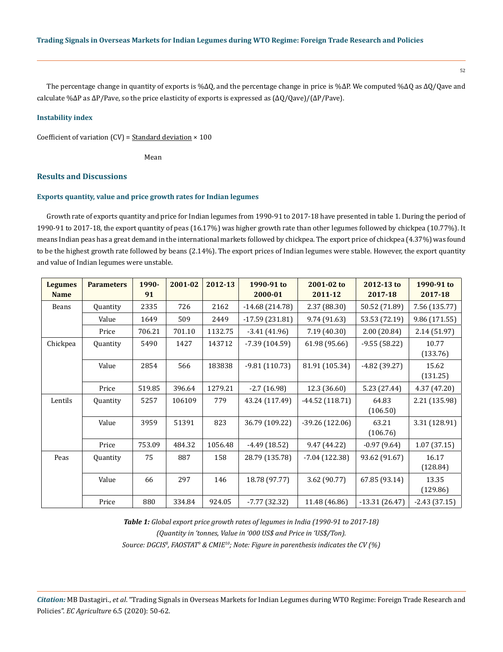The percentage change in quantity of exports is %∆Q, and the percentage change in price is %∆P. We computed %∆Q as ∆Q/Qave and calculate %∆P as ∆P/Pave, so the price elasticity of exports is expressed as (∆Q/Qave)/(∆P/Pave).

## **Instability index**

Coefficient of variation  $(CV) =$  Standard deviation  $\times$  100

**Mean** 

# **Results and Discussions**

#### **Exports quantity, value and price growth rates for Indian legumes**

Growth rate of exports quantity and price for Indian legumes from 1990-91 to 2017-18 have presented in table 1. During the period of 1990-91 to 2017-18, the export quantity of peas (16.17%) was higher growth rate than other legumes followed by chickpea (10.77%). It means Indian peas has a great demand in the international markets followed by chickpea. The export price of chickpea (4.37%) was found to be the highest growth rate followed by beans (2.14%). The export prices of Indian legumes were stable. However, the export quantity and value of Indian legumes were unstable.

| <b>Legumes</b><br><b>Name</b> | <b>Parameters</b> | 1990-<br>91 | 2001-02 | 2012-13 | 1990-91 to<br>2000-01 | 2001-02 to<br>2011-12 | 2012-13 to<br>2017-18 | 1990-91 to<br>2017-18 |
|-------------------------------|-------------------|-------------|---------|---------|-----------------------|-----------------------|-----------------------|-----------------------|
| Beans                         | Quantity          | 2335        | 726     | 2162    | $-14.68(214.78)$      | 2.37 (88.30)          | 50.52 (71.89)         | 7.56 (135.77)         |
|                               | Value             | 1649        | 509     | 2449    | $-17.59(231.81)$      | 9.74 (91.63)          | 53.53 (72.19)         | 9.86 (171.55)         |
|                               | Price             | 706.21      | 701.10  | 1132.75 | $-3.41(41.96)$        | 7.19(40.30)           | 2.00(20.84)           | 2.14(51.97)           |
| Chickpea                      | Quantity          | 5490        | 1427    | 143712  | $-7.39(104.59)$       | 61.98 (95.66)         | $-9.55(58.22)$        | 10.77<br>(133.76)     |
|                               | Value             | 2854        | 566     | 183838  | $-9.81(110.73)$       | 81.91 (105.34)        | $-4.82(39.27)$        | 15.62<br>(131.25)     |
|                               | Price             | 519.85      | 396.64  | 1279.21 | $-2.7(16.98)$         | 12.3 (36.60)          | 5.23 (27.44)          | 4.37 (47.20)          |
| Lentils                       | Quantity          | 5257        | 106109  | 779     | 43.24 (117.49)        | $-44.52(118.71)$      | 64.83<br>(106.50)     | 2.21 (135.98)         |
|                               | Value             | 3959        | 51391   | 823     | 36.79 (109.22)        | $-39.26(122.06)$      | 63.21<br>(106.76)     | 3.31 (128.91)         |
|                               | Price             | 753.09      | 484.32  | 1056.48 | $-4.49(18.52)$        | 9.47 (44.22)          | $-0.97(9.64)$         | 1.07(37.15)           |
| Peas                          | Quantity          | 75          | 887     | 158     | 28.79 (135.78)        | $-7.04(122.38)$       | 93.62 (91.67)         | 16.17<br>(128.84)     |
|                               | Value             | 66          | 297     | 146     | 18.78 (97.77)         | 3.62 (90.77)          | 67.85 (93.14)         | 13.35<br>(129.86)     |
|                               | Price             | 880         | 334.84  | 924.05  | $-7.77(32.32)$        | 11.48 (46.86)         | $-13.31(26.47)$       | $-2.43(37.15)$        |

*Table 1: Global export price growth rates of legumes in India (1990-91 to 2017-18) (Quantity in 'tonnes, Value in '000 US\$ and Price in 'US\$/Ton). Source: DGCIS8 , FAOSTAT9 & CMIE10; Note: Figure in parenthesis indicates the CV (%)*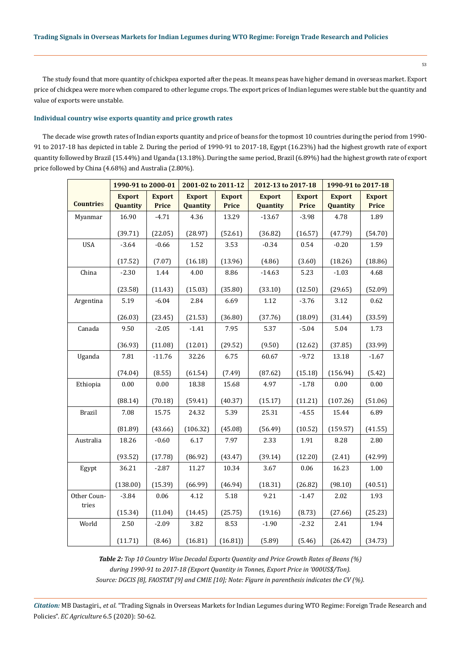The study found that more quantity of chickpea exported after the peas. It means peas have higher demand in overseas market. Export price of chickpea were more when compared to other legume crops. The export prices of Indian legumes were stable but the quantity and value of exports were unstable.

# **Individual country wise exports quantity and price growth rates**

The decade wise growth rates of Indian exports quantity and price of beans for the topmost 10 countries during the period from 1990- 91 to 2017-18 has depicted in table 2. During the period of 1990-91 to 2017-18, Egypt (16.23%) had the highest growth rate of export quantity followed by Brazil (15.44%) and Uganda (13.18%). During the same period, Brazil (6.89%) had the highest growth rate of export price followed by China (4.68%) and Australia (2.80%).

|                      | 1990-91 to 2000-01        |                               | 2001-02 to 2011-12        |                               | 2012-13 to 2017-18        |                               | 1990-91 to 2017-18        |                               |
|----------------------|---------------------------|-------------------------------|---------------------------|-------------------------------|---------------------------|-------------------------------|---------------------------|-------------------------------|
| <b>Countries</b>     | <b>Export</b><br>Quantity | <b>Export</b><br><b>Price</b> | <b>Export</b><br>Quantity | <b>Export</b><br><b>Price</b> | <b>Export</b><br>Quantity | <b>Export</b><br><b>Price</b> | <b>Export</b><br>Quantity | <b>Export</b><br><b>Price</b> |
| Myanmar              | 16.90                     | $-4.71$                       | 4.36                      | 13.29                         | $-13.67$                  | $-3.98$                       | 4.78                      | 1.89                          |
|                      | (39.71)                   | (22.05)                       | (28.97)                   | (52.61)                       | (36.82)                   | (16.57)                       | (47.79)                   | (54.70)                       |
| <b>USA</b>           | $-3.64$                   | $-0.66$                       | 1.52                      | 3.53                          | $-0.34$                   | 0.54                          | $-0.20$                   | 1.59                          |
|                      | (17.52)                   | (7.07)                        | (16.18)                   | (13.96)                       | (4.86)                    | (3.60)                        | (18.26)                   | (18.86)                       |
| China                | $-2.30$                   | 1.44                          | 4.00                      | 8.86                          | $-14.63$                  | 5.23                          | $-1.03$                   | 4.68                          |
|                      | (23.58)                   | (11.43)                       | (15.03)                   | (35.80)                       | (33.10)                   | (12.50)                       | (29.65)                   | (52.09)                       |
| Argentina            | 5.19                      | $-6.04$                       | 2.84                      | 6.69                          | 1.12                      | $-3.76$                       | 3.12                      | 0.62                          |
|                      | (26.03)                   | (23.45)                       | (21.53)                   | (36.80)                       | (37.76)                   | (18.09)                       | (31.44)                   | (33.59)                       |
| Canada               | 9.50                      | $-2.05$                       | $-1.41$                   | 7.95                          | 5.37                      | $-5.04$                       | 5.04                      | 1.73                          |
|                      | (36.93)                   | (11.08)                       | (12.01)                   | (29.52)                       | (9.50)                    | (12.62)                       | (37.85)                   | (33.99)                       |
| Uganda               | 7.81                      | $-11.76$                      | 32.26                     | 6.75                          | 60.67                     | $-9.72$                       | 13.18                     | $-1.67$                       |
|                      | (74.04)                   | (8.55)                        | (61.54)                   | (7.49)                        | (87.62)                   | (15.18)                       | (156.94)                  | (5.42)                        |
| Ethiopia             | 0.00                      | 0.00                          | 18.38                     | 15.68                         | 4.97                      | $-1.78$                       | 0.00                      | 0.00                          |
|                      | (88.14)                   | (70.18)                       | (59.41)                   | (40.37)                       | (15.17)                   | (11.21)                       | (107.26)                  | (51.06)                       |
| <b>Brazil</b>        | 7.08                      | 15.75                         | 24.32                     | 5.39                          | 25.31                     | $-4.55$                       | 15.44                     | 6.89                          |
|                      | (81.89)                   | (43.66)                       | (106.32)                  | (45.08)                       | (56.49)                   | (10.52)                       | (159.57)                  | (41.55)                       |
| Australia            | 18.26                     | $-0.60$                       | 6.17                      | 7.97                          | 2.33                      | 1.91                          | 8.28                      | 2.80                          |
|                      | (93.52)                   | (17.78)                       | (86.92)                   | (43.47)                       | (39.14)                   | (12.20)                       | (2.41)                    | (42.99)                       |
| Egypt                | 36.21                     | $-2.87$                       | 11.27                     | 10.34                         | 3.67                      | 0.06                          | 16.23                     | 1.00                          |
|                      | (138.00)                  | (15.39)                       | (66.99)                   | (46.94)                       | (18.31)                   | (26.82)                       | (98.10)                   | (40.51)                       |
| Other Coun-<br>tries | $-3.84$                   | 0.06                          | 4.12                      | 5.18                          | 9.21                      | $-1.47$                       | 2.02                      | 1.93                          |
|                      | (15.34)                   | (11.04)                       | (14.45)                   | (25.75)                       | (19.16)                   | (8.73)                        | (27.66)                   | (25.23)                       |
| World                | 2.50                      | $-2.09$                       | 3.82                      | 8.53                          | $-1.90$                   | $-2.32$                       | 2.41                      | 1.94                          |
|                      | (11.71)                   | (8.46)                        | (16.81)                   | (16.81)                       | (5.89)                    | (5.46)                        | (26.42)                   | (34.73)                       |

*Table 2: Top 10 Country Wise Decadal Exports Quantity and Price Growth Rates of Beans (%) during 1990-91 to 2017-18 (Export Quantity in Tonnes, Export Price in '000US\$/Ton). Source: DGCIS [8], FAOSTAT [9] and CMIE [10]; Note: Figure in parenthesis indicates the CV (%).*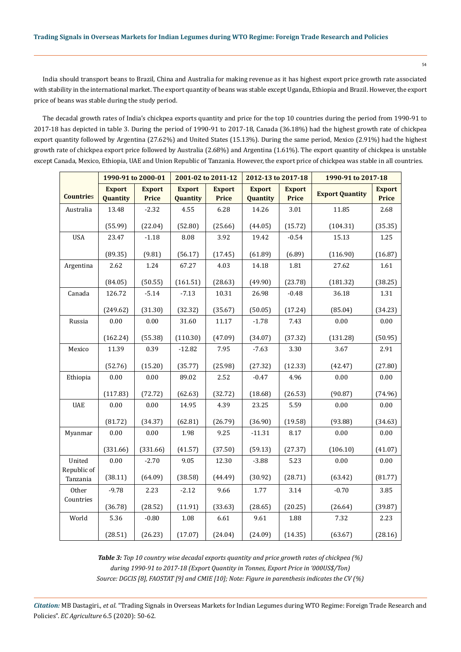India should transport beans to Brazil, China and Australia for making revenue as it has highest export price growth rate associated with stability in the international market. The export quantity of beans was stable except Uganda, Ethiopia and Brazil. However, the export price of beans was stable during the study period.

The decadal growth rates of India's chickpea exports quantity and price for the top 10 countries during the period from 1990-91 to 2017-18 has depicted in table 3. During the period of 1990-91 to 2017-18, Canada (36.18%) had the highest growth rate of chickpea export quantity followed by Argentina (27.62%) and United States (15.13%). During the same period, Mexico (2.91%) had the highest growth rate of chickpea export price followed by Australia (2.68%) and Argentina (1.61%). The export quantity of chickpea is unstable except Canada, Mexico, Ethiopia, UAE and Union Republic of Tanzania. However, the export price of chickpea was stable in all countries.

|                         | 1990-91 to 2000-01        |                        |                           | 2001-02 to 2011-12     | 2012-13 to 2017-18        |                               | 1990-91 to 2017-18     |                        |
|-------------------------|---------------------------|------------------------|---------------------------|------------------------|---------------------------|-------------------------------|------------------------|------------------------|
| <b>Countries</b>        | <b>Export</b><br>Quantity | <b>Export</b><br>Price | <b>Export</b><br>Quantity | <b>Export</b><br>Price | <b>Export</b><br>Quantity | <b>Export</b><br><b>Price</b> | <b>Export Quantity</b> | <b>Export</b><br>Price |
| Australia               | 13.48                     | $-2.32$                | 4.55                      | 6.28                   | 14.26                     | 3.01                          | 11.85                  | 2.68                   |
|                         | (55.99)                   | (22.04)                | (52.80)                   | (25.66)                | (44.05)                   | (15.72)                       | (104.31)               | (35.35)                |
| <b>USA</b>              | 23.47                     | $-1.18$                | 8.08                      | 3.92                   | 19.42                     | $-0.54$                       | 15.13                  | 1.25                   |
|                         | (89.35)                   | (9.81)                 | (56.17)                   | (17.45)                | (61.89)                   | (6.89)                        | (116.90)               | (16.87)                |
| Argentina               | 2.62                      | 1.24                   | 67.27                     | 4.03                   | 14.18                     | 1.81                          | 27.62                  | 1.61                   |
|                         | (84.05)                   | (50.55)                | (161.51)                  | (28.63)                | (49.90)                   | (23.78)                       | (181.32)               | (38.25)                |
| Canada                  | 126.72                    | $-5.14$                | $-7.13$                   | 10.31                  | 26.98                     | $-0.48$                       | 36.18                  | 1.31                   |
|                         | (249.62)                  | (31.30)                | (32.32)                   | (35.67)                | (50.05)                   | (17.24)                       | (85.04)                | (34.23)                |
| Russia                  | 0.00                      | $0.00\,$               | 31.60                     | 11.17                  | $-1.78$                   | 7.43                          | 0.00                   | 0.00                   |
|                         | (162.24)                  | (55.38)                | (110.30)                  | (47.09)                | (34.07)                   | (37.32)                       | (131.28)               | (50.95)                |
| Mexico                  | 11.39                     | 0.39                   | $-12.82$                  | 7.95                   | $-7.63$                   | 3.30                          | 3.67                   | 2.91                   |
|                         | (52.76)                   | (15.20)                | (35.77)                   | (25.98)                | (27.32)                   | (12.33)                       | (42.47)                | (27.80)                |
| Ethiopia                | 0.00                      | 0.00                   | 89.02                     | 2.52                   | $-0.47$                   | 4.96                          | 0.00                   | 0.00                   |
|                         | (117.83)                  | (72.72)                | (62.63)                   | (32.72)                | (18.68)                   | (26.53)                       | (90.87)                | (74.96)                |
| <b>UAE</b>              | 0.00                      | $0.00\,$               | 14.95                     | 4.39                   | 23.25                     | 5.59                          | 0.00                   | 0.00                   |
|                         | (81.72)                   | (34.37)                | (62.81)                   | (26.79)                | (36.90)                   | (19.58)                       | (93.88)                | (34.63)                |
| Myanmar                 | 0.00                      | 0.00                   | 1.98                      | 9.25                   | $-11.31$                  | 8.17                          | 0.00                   | 0.00                   |
|                         | (331.66)                  | (331.66)               | (41.57)                   | (37.50)                | (59.13)                   | (27.37)                       | (106.10)               | (41.07)                |
| United                  | 0.00                      | $-2.70$                | 9.05                      | 12.30                  | $-3.88$                   | 5.23                          | 0.00                   | 0.00                   |
| Republic of<br>Tanzania | (38.11)                   | (64.09)                | (38.58)                   | (44.49)                | (30.92)                   | (28.71)                       | (63.42)                | (81.77)                |
| Other                   | $-9.78$                   | 2.23                   | $-2.12$                   | 9.66                   | 1.77                      | 3.14                          | $-0.70$                | 3.85                   |
| Countries               | (36.78)                   | (28.52)                | (11.91)                   | (33.63)                | (28.65)                   | (20.25)                       | (26.64)                | (39.87)                |
| World                   | 5.36                      | $-0.80$                | 1.08                      | 6.61                   | 9.61                      | 1.88                          | 7.32                   | 2.23                   |
|                         | (28.51)                   | (26.23)                | (17.07)                   | (24.04)                | (24.09)                   | (14.35)                       | (63.67)                | (28.16)                |

*Table 3: Top 10 country wise decadal exports quantity and price growth rates of chickpea (%) during 1990-91 to 2017-18 (Export Quantity in Tonnes, Export Price in '000US\$/Ton) Source: DGCIS [8], FAOSTAT [9] and CMIE [10]; Note: Figure in parenthesis indicates the CV (%)*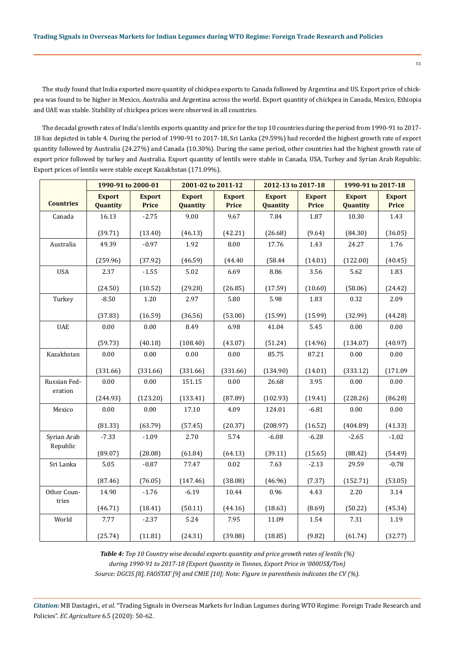The study found that India exported more quantity of chickpea exports to Canada followed by Argentina and US. Export price of chickpea was found to be higher in Mexico, Australia and Argentina across the world. Export quantity of chickpea in Canada, Mexico, Ethiopia and UAE was stable. Stability of chickpea prices were observed in all countries.

The decadal growth rates of India's lentils exports quantity and price for the top 10 countries during the period from 1990-91 to 2017- 18 has depicted in table 4. During the period of 1990-91 to 2017-18, Sri Lanka (29.59%) had recorded the highest growth rate of export quantity followed by Australia (24.27%) and Canada (10.30%). During the same period, other countries had the highest growth rate of export price followed by turkey and Australia. Export quantity of lentils were stable in Canada, USA, Turkey and Syrian Arab Republic. Export prices of lentils were stable except Kazakhstan (171.09%).

|                  | 1990-91 to 2000-01        |                               | 2001-02 to 2011-12        |                               | 2012-13 to 2017-18        |                               | 1990-91 to 2017-18        |                               |
|------------------|---------------------------|-------------------------------|---------------------------|-------------------------------|---------------------------|-------------------------------|---------------------------|-------------------------------|
| <b>Countries</b> | <b>Export</b><br>Quantity | <b>Export</b><br><b>Price</b> | <b>Export</b><br>Quantity | <b>Export</b><br><b>Price</b> | <b>Export</b><br>Quantity | <b>Export</b><br><b>Price</b> | <b>Export</b><br>Quantity | <b>Export</b><br><b>Price</b> |
| Canada           | 16.13                     | $-2.75$                       | 9.00                      | 9.67                          | 7.84                      | 1.87                          | 10.30                     | 1.43                          |
|                  | (39.71)                   | (13.40)                       | (46.13)                   | (42.21)                       | (26.68)                   | (9.64)                        | (84.30)                   | (36.05)                       |
| Australia        | 49.39                     | $-0.97$                       | 1.92                      | 8.00                          | 17.76                     | 1.43                          | 24.27                     | 1.76                          |
|                  | (259.96)                  | (37.92)                       | (46.59)                   | (44.40)                       | (58.44)                   | (14.01)                       | (122.00)                  | (40.45)                       |
| <b>USA</b>       | 2.37                      | $-1.55$                       | 5.02                      | 6.69                          | 8.86                      | 3.56                          | 5.62                      | 1.83                          |
|                  | (24.50)                   | (10.52)                       | (29.28)                   | (26.85)                       | (17.59)                   | (10.60)                       | (58.06)                   | (24.42)                       |
| Turkey           | $-8.50$                   | 1.20                          | 2.97                      | 5.80                          | 5.98                      | 1.83                          | 0.32                      | 2.09                          |
|                  | (37.83)                   | (16.59)                       | (36.56)                   | (53.00)                       | (15.99)                   | (15.99)                       | (32.99)                   | (44.28)                       |
| <b>UAE</b>       | 0.00                      | 0.00                          | 8.49                      | 6.98                          | 41.04                     | 5.45                          | 0.00                      | 0.00                          |
|                  | (59.73)                   | (40.18)                       | (108.40)                  | (43.07)                       | (51.24)                   | (14.96)                       | (134.07)                  | (40.97)                       |
| Kazakhstan       | 0.00                      | 0.00                          | 0.00                      | 0.00                          | 85.75                     | 87.21                         | 0.00                      | 0.00                          |
|                  | (331.66)                  | (331.66)                      | (331.66)                  | (331.66)                      | (134.90)                  | (14.01)                       | (333.12)                  | (171.09)                      |
| Russian Fed-     | 0.00                      | 0.00                          | 151.15                    | 0.00                          | 26.68                     | 3.95                          | 0.00                      | 0.00                          |
| eration          | (244.93)                  | (123.20)                      | (133.41)                  | (87.89)                       | (102.93)                  | (19.41)                       | (228.26)                  | (86.28)                       |
| Mexico           | 0.00                      | 0.00                          | 17.10                     | 4.09                          | 124.01                    | $-6.81$                       | 0.00                      | 0.00                          |
|                  | (81.33)                   | (63.79)                       | (57.45)                   | (20.37)                       | (208.97)                  | (16.52)                       | (404.89)                  | (41.33)                       |
| Syrian Arab      | $-7.33$                   | $-1.09$                       | 2.70                      | 5.74                          | $-6.08$                   | $-6.28$                       | $-2.65$                   | $-1.02$                       |
| Republic         | (89.07)                   | (28.08)                       | (61.84)                   | (64.13)                       | (39.11)                   | (15.65)                       | (88.42)                   | (54.49)                       |
| Sri Lanka        | 5.05                      | $-0.87$                       | 77.47                     | 0.02                          | 7.63                      | $-2.13$                       | 29.59                     | $-0.78$                       |
|                  | (87.46)                   | (76.05)                       | (147.46)                  | (38.08)                       | (46.96)                   | (7.37)                        | (152.71)                  | (53.05)                       |
| Other Coun-      | 14.90                     | $-1.76$                       | $-6.19$                   | 10.44                         | 0.96                      | 4.43                          | 2.20                      | 3.14                          |
| tries            | (46.71)                   | (18.41)                       | (50.11)                   | (44.16)                       | (18.63)                   | (8.69)                        | (50.22)                   | (45.34)                       |
| World            | 7.77                      | $-2.37$                       | 5.24                      | 7.95                          | 11.09                     | 1.54                          | 7.31                      | 1.19                          |
|                  | (25.74)                   | (11.81)                       | (24.31)                   | (39.88)                       | (18.85)                   | (9.82)                        | (61.74)                   | (32.77)                       |

*Table 4: Top 10 Country wise decadal exports quantity and price growth rates of lentils (%) during 1990-91 to 2017-18 (Export Quantity in Tonnes, Export Price in '000US\$/Ton) Source: DGCIS [8], FAOSTAT [9] and CMIE [10]; Note: Figure in parenthesis indicates the CV (%).*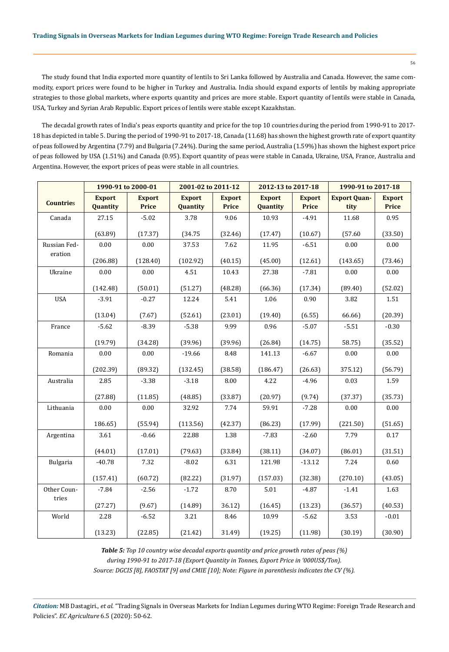The study found that India exported more quantity of lentils to Sri Lanka followed by Australia and Canada. However, the same commodity, export prices were found to be higher in Turkey and Australia. India should expand exports of lentils by making appropriate strategies to those global markets, where exports quantity and prices are more stable. Export quantity of lentils were stable in Canada, USA, Turkey and Syrian Arab Republic. Export prices of lentils were stable except Kazakhstan.

The decadal growth rates of India's peas exports quantity and price for the top 10 countries during the period from 1990-91 to 2017- 18 has depicted in table 5. During the period of 1990-91 to 2017-18, Canada (11.68) has shown the highest growth rate of export quantity of peas followed by Argentina (7.79) and Bulgaria (7.24%). During the same period, Australia (1.59%) has shown the highest export price of peas followed by USA (1.51%) and Canada (0.95). Export quantity of peas were stable in Canada, Ukraine, USA, France, Australia and Argentina. However, the export prices of peas were stable in all countries.

|                  |                           | 1990-91 to 2000-01            | 2001-02 to 2011-12        |                               | 2012-13 to 2017-18        |                        | 1990-91 to 2017-18          |                               |
|------------------|---------------------------|-------------------------------|---------------------------|-------------------------------|---------------------------|------------------------|-----------------------------|-------------------------------|
| <b>Countries</b> | <b>Export</b><br>Quantity | <b>Export</b><br><b>Price</b> | <b>Export</b><br>Quantity | <b>Export</b><br><b>Price</b> | <b>Export</b><br>Quantity | <b>Export</b><br>Price | <b>Export Quan-</b><br>tity | <b>Export</b><br><b>Price</b> |
| Canada           | 27.15                     | $-5.02$                       | 3.78                      | 9.06                          | 10.93                     | $-4.91$                | 11.68                       | 0.95                          |
|                  | (63.89)                   | (17.37)                       | (34.75)                   | (32.46)                       | (17.47)                   | (10.67)                | (57.60)                     | (33.50)                       |
| Russian Fed-     | 0.00                      | 0.00                          | 37.53                     | 7.62                          | 11.95                     | $-6.51$                | 0.00                        | 0.00                          |
| eration          | (206.88)                  | (128.40)                      | (102.92)                  | (40.15)                       | (45.00)                   | (12.61)                | (143.65)                    | (73.46)                       |
| Ukraine          | 0.00                      | 0.00                          | 4.51                      | 10.43                         | 27.38                     | $-7.81$                | 0.00                        | 0.00                          |
|                  | (142.48)                  | (50.01)                       | (51.27)                   | (48.28)                       | (66.36)                   | (17.34)                | (89.40)                     | (52.02)                       |
| <b>USA</b>       | $-3.91$                   | $-0.27$                       | 12.24                     | 5.41                          | 1.06                      | 0.90                   | 3.82                        | 1.51                          |
|                  | (13.04)                   | (7.67)                        | (52.61)                   | (23.01)                       | (19.40)                   | (6.55)                 | 66.66)                      | (20.39)                       |
| France           | $-5.62$                   | $-8.39$                       | $-5.38$                   | 9.99                          | 0.96                      | $-5.07$                | $-5.51$                     | $-0.30$                       |
|                  | (19.79)                   | (34.28)                       | (39.96)                   | (39.96)                       | (26.84)                   | (14.75)                | 58.75)                      | (35.52)                       |
| Romania          | 0.00                      | 0.00                          | $-19.66$                  | 8.48                          | 141.13                    | $-6.67$                | 0.00                        | $0.00\,$                      |
|                  | (202.39)                  | (89.32)                       | (132.45)                  | (38.58)                       | (186.47)                  | (26.63)                | 375.12)                     | (56.79)                       |
| Australia        | 2.85                      | $-3.38$                       | $-3.18$                   | 8.00                          | 4.22                      | $-4.96$                | 0.03                        | 1.59                          |
|                  | (27.88)                   | (11.85)                       | (48.85)                   | (33.87)                       | (20.97)                   | (9.74)                 | (37.37)                     | (35.73)                       |
| Lithuania        | 0.00                      | 0.00                          | 32.92                     | 7.74                          | 59.91                     | $-7.28$                | 0.00                        | 0.00                          |
|                  | 186.65)                   | (55.94)                       | (113.56)                  | (42.37)                       | (86.23)                   | (17.99)                | (221.50)                    | (51.65)                       |
| Argentina        | 3.61                      | $-0.66$                       | 22.88                     | 1.38                          | $-7.83$                   | $-2.60$                | 7.79                        | $0.17\,$                      |
|                  | (44.01)                   | (17.01)                       | (79.63)                   | (33.84)                       | (38.11)                   | (34.07)                | (86.01)                     | (31.51)                       |
| Bulgaria         | $-40.78$                  | 7.32                          | $-8.02$                   | 6.31                          | 121.98                    | $-13.12$               | 7.24                        | 0.60                          |
|                  | (157.41)                  | (60.72)                       | (82.22)                   | (31.97)                       | (157.03)                  | (32.38)                | (270.10)                    | (43.05)                       |
| Other Coun-      | $-7.84$                   | $-2.56$                       | $-1.72$                   | 8.70                          | 5.01                      | $-4.87$                | $-1.41$                     | 1.63                          |
| tries            | (27.27)                   | (9.67)                        | (14.89)                   | 36.12)                        | (16.45)                   | (13.23)                | (36.57)                     | (40.53)                       |
| World            | 2.28                      | $-6.52$                       | 3.21                      | 8.46                          | 10.99                     | $-5.62$                | 3.53                        | $-0.01$                       |
|                  | (13.23)                   | (22.85)                       | (21.42)                   | 31.49)                        | (19.25)                   | (11.98)                | (30.19)                     | (30.90)                       |

*Table 5: Top 10 country wise decadal exports quantity and price growth rates of peas (%) during 1990-91 to 2017-18 (Export Quantity in Tonnes, Export Price in '000US\$/Ton). Source: DGCIS [8], FAOSTAT [9] and CMIE [10]; Note: Figure in parenthesis indicates the CV (%).*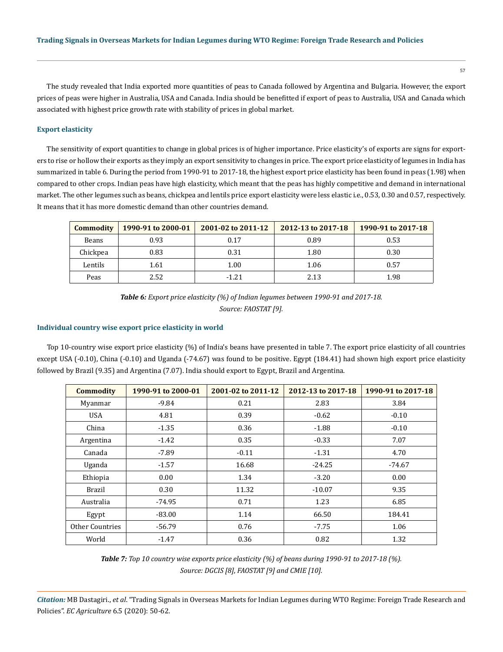The study revealed that India exported more quantities of peas to Canada followed by Argentina and Bulgaria. However, the export prices of peas were higher in Australia, USA and Canada. India should be benefitted if export of peas to Australia, USA and Canada which associated with highest price growth rate with stability of prices in global market.

## **Export elasticity**

The sensitivity of export quantities to change in global prices is of higher importance. Price elasticity's of exports are signs for exporters to rise or hollow their exports as they imply an export sensitivity to changes in price. The export price elasticity of legumes in India has summarized in table 6. During the period from 1990-91 to 2017-18, the highest export price elasticity has been found in peas (1.98) when compared to other crops. Indian peas have high elasticity, which meant that the peas has highly competitive and demand in international market. The other legumes such as beans, chickpea and lentils price export elasticity were less elastic i.e., 0.53, 0.30 and 0.57, respectively. It means that it has more domestic demand than other countries demand.

| <b>Commodity</b> | 1990-91 to 2000-01 | 2001-02 to 2011-12 | 2012-13 to 2017-18 | 1990-91 to 2017-18 |
|------------------|--------------------|--------------------|--------------------|--------------------|
| Beans            | 0.93               | 0.17               | 0.89               | 0.53               |
| Chickpea         | 0.83               | 0.31               | 1.80               | 0.30               |
| Lentils          | 1.61               | 1.00               | 1.06               | 0.57               |
| Peas             | 2.52               | $-1.21$            | 2.13               | 1.98               |

*Table 6: Export price elasticity (%) of Indian legumes between 1990-91 and 2017-18. Source: FAOSTAT [9].*

#### **Individual country wise export price elasticity in world**

Top 10-country wise export price elasticity (%) of India's beans have presented in table 7. The export price elasticity of all countries except USA (-0.10), China (-0.10) and Uganda (-74.67) was found to be positive. Egypt (184.41) had shown high export price elasticity followed by Brazil (9.35) and Argentina (7.07). India should export to Egypt, Brazil and Argentina.

| <b>Commodity</b> | 1990-91 to 2000-01 | 2001-02 to 2011-12 | 2012-13 to 2017-18 | 1990-91 to 2017-18 |
|------------------|--------------------|--------------------|--------------------|--------------------|
| Myanmar          | $-9.84$            | 0.21               | 2.83               | 3.84               |
| <b>USA</b>       | 4.81               | 0.39               | $-0.62$            | $-0.10$            |
| China            | $-1.35$            | 0.36               | $-1.88$            | $-0.10$            |
| Argentina        | $-1.42$            | 0.35               | $-0.33$            | 7.07               |
| Canada           | $-7.89$            | $-0.11$            | $-1.31$            | 4.70               |
| Uganda           | $-1.57$            | 16.68              | $-24.25$           | $-74.67$           |
| Ethiopia         | 0.00               | 1.34               | $-3.20$            | 0.00               |
| <b>Brazil</b>    | 0.30               | 11.32              | $-10.07$           | 9.35               |
| Australia        | $-74.95$           | 0.71               | 1.23               | 6.85               |
| Egypt            | $-83.00$           | 1.14               | 66.50              | 184.41             |
| Other Countries  | $-56.79$           | 0.76               | $-7.75$            | 1.06               |
| World            | $-1.47$            | 0.36               | 0.82               | 1.32               |

*Table 7: Top 10 country wise exports price elasticity (%) of beans during 1990-91 to 2017-18 (%). Source: DGCIS [8], FAOSTAT [9] and CMIE [10].*

*Citation:* MB Dastagiri., *et al*. "Trading Signals in Overseas Markets for Indian Legumes during WTO Regime: Foreign Trade Research and Policies". *EC Agriculture* 6.5 (2020): 50-62.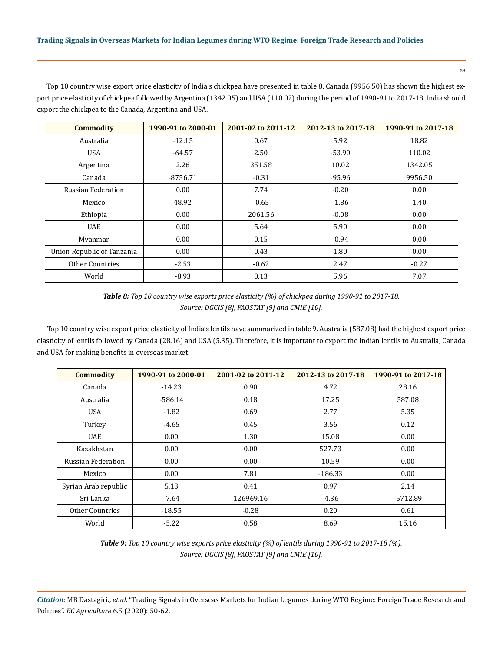Top 10 country wise export price elasticity of India's chickpea have presented in table 8. Canada (9956.50) has shown the highest export price elasticity of chickpea followed by Argentina (1342.05) and USA (110.02) during the period of 1990-91 to 2017-18. India should export the chickpea to the Canada, Argentina and USA.

| <b>Commodity</b>           | 1990-91 to 2000-01 | 2001-02 to 2011-12 | 2012-13 to 2017-18 | 1990-91 to 2017-18 |
|----------------------------|--------------------|--------------------|--------------------|--------------------|
| Australia                  | $-12.15$           | 0.67               | 5.92               | 18.82              |
| <b>USA</b>                 | $-64.57$           | 2.50               | $-53.90$           | 110.02             |
| Argentina                  | 2.26               | 351.58             | 10.02              | 1342.05            |
| Canada                     | $-8756.71$         | $-0.31$            | $-95.96$           | 9956.50            |
| Russian Federation         | 0.00               | 7.74               | $-0.20$            | 0.00               |
| Mexico                     | 48.92              | $-0.65$            | $-1.86$            | 1.40               |
| Ethiopia                   | 0.00               | 2061.56            | $-0.08$            | 0.00               |
| <b>UAE</b>                 | 0.00               | 5.64               | 5.90               | 0.00               |
| Myanmar                    | 0.00               | 0.15               | $-0.94$            | 0.00               |
| Union Republic of Tanzania | 0.00               | 0.43               | 1.80               | 0.00               |
| <b>Other Countries</b>     | $-2.53$            | $-0.62$            | 2.47               | $-0.27$            |
| World                      | $-8.93$            | 0.13               | 5.96               | 7.07               |

*Table 8: Top 10 country wise exports price elasticity (%) of chickpea during 1990-91 to 2017-18. Source: DGCIS [8], FAOSTAT [9] and CMIE [10].*

Top 10 country wise export price elasticity of India's lentils have summarized in table 9. Australia (587.08) had the highest export price elasticity of lentils followed by Canada (28.16) and USA (5.35). Therefore, it is important to export the Indian lentils to Australia, Canada and USA for making benefits in overseas market.

| <b>Commodity</b>          | 1990-91 to 2000-01 | 2001-02 to 2011-12 | 2012-13 to 2017-18 | 1990-91 to 2017-18 |
|---------------------------|--------------------|--------------------|--------------------|--------------------|
| Canada                    | $-14.23$           | 0.90               | 4.72               | 28.16              |
| Australia                 | $-586.14$          | 0.18               | 17.25              | 587.08             |
| <b>USA</b>                | $-1.82$            | 0.69               | 2.77               | 5.35               |
| Turkey                    | $-4.65$            | 0.45               | 3.56               | 0.12               |
| <b>UAE</b>                | 0.00               | 1.30               | 15.08              | 0.00               |
| Kazakhstan                | 0.00               | 0.00               | 527.73             | 0.00               |
| <b>Russian Federation</b> | 0.00               | 0.00               | 10.59              | 0.00               |
| Mexico                    | 0.00               | 7.81               | $-186.33$          | 0.00               |
| Syrian Arab republic      | 5.13               | 0.41               | 0.97               | 2.14               |
| Sri Lanka                 | $-7.64$            | 126969.16          | $-4.36$            | -5712.89           |
| Other Countries           | $-18.55$           | $-0.28$            | 0.20               | 0.61               |
| World                     | $-5.22$            | 0.58               | 8.69               | 15.16              |

*Table 9: Top 10 country wise exports price elasticity (%) of lentils during 1990-91 to 2017-18 (%). Source: DGCIS [8], FAOSTAT [9] and CMIE [10].*

*Citation:* MB Dastagiri., *et al*. "Trading Signals in Overseas Markets for Indian Legumes during WTO Regime: Foreign Trade Research and Policies". *EC Agriculture* 6.5 (2020): 50-62.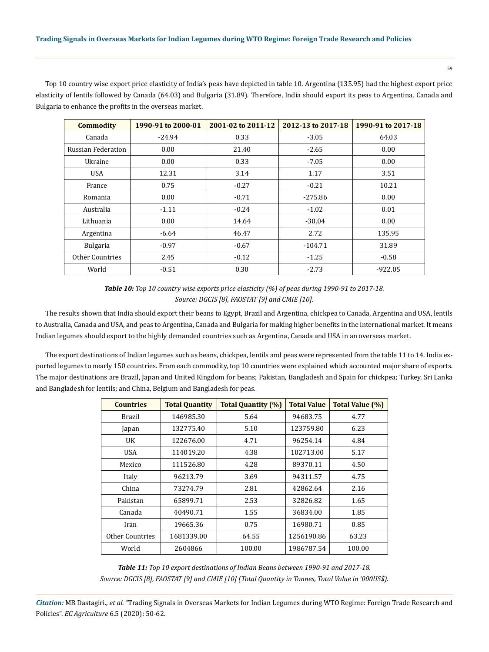Top 10 country wise export price elasticity of India's peas have depicted in table 10. Argentina (135.95) had the highest export price elasticity of lentils followed by Canada (64.03) and Bulgaria (31.89). Therefore, India should export its peas to Argentina, Canada and Bulgaria to enhance the profits in the overseas market.

| <b>Commodity</b>   | 1990-91 to 2000-01 | 2001-02 to 2011-12 | 2012-13 to 2017-18 | 1990-91 to 2017-18 |
|--------------------|--------------------|--------------------|--------------------|--------------------|
| Canada             | $-24.94$           | 0.33               | $-3.05$            | 64.03              |
| Russian Federation | 0.00               | 21.40              | $-2.65$            | 0.00               |
| Ukraine            | 0.00               | 0.33               | $-7.05$            | 0.00               |
| <b>USA</b>         | 12.31              | 3.14               | 1.17               | 3.51               |
| France             | 0.75               | $-0.27$            | $-0.21$            | 10.21              |
| Romania            | 0.00               | $-0.71$            | $-275.86$          | 0.00               |
| Australia          | $-1.11$            | $-0.24$            | $-1.02$            | 0.01               |
| Lithuania          | 0.00               | 14.64              | $-30.04$           | 0.00               |
| Argentina          | $-6.64$            | 46.47              | 2.72               | 135.95             |
| <b>Bulgaria</b>    | $-0.97$            | $-0.67$            | $-104.71$          | 31.89              |
| Other Countries    | 2.45               | $-0.12$            | $-1.25$            | $-0.58$            |
| World              | $-0.51$            | 0.30               | $-2.73$            | $-922.05$          |

*Table 10: Top 10 country wise exports price elasticity (%) of peas during 1990-91 to 2017-18. Source: DGCIS [8], FAOSTAT [9] and CMIE [10].*

The results shown that India should export their beans to Egypt, Brazil and Argentina, chickpea to Canada, Argentina and USA, lentils to Australia, Canada and USA, and peas to Argentina, Canada and Bulgaria for making higher benefits in the international market. It means Indian legumes should export to the highly demanded countries such as Argentina, Canada and USA in an overseas market.

The export destinations of Indian legumes such as beans, chickpea, lentils and peas were represented from the table 11 to 14. India exported legumes to nearly 150 countries. From each commodity, top 10 countries were explained which accounted major share of exports. The major destinations are Brazil, Japan and United Kingdom for beans; Pakistan, Bangladesh and Spain for chickpea; Turkey, Sri Lanka and Bangladesh for lentils; and China, Belgium and Bangladesh for peas.

| <b>Countries</b> | <b>Total Quantity</b> | <b>Total Quantity (%)</b> | <b>Total Value</b> | Total Value (%) |
|------------------|-----------------------|---------------------------|--------------------|-----------------|
| Brazil           | 146985.30             | 5.64                      | 94683.75           | 4.77            |
| Japan            | 132775.40             | 5.10                      | 123759.80          | 6.23            |
| UK               | 122676.00             | 4.71                      | 96254.14           | 4.84            |
| USA              | 114019.20             | 4.38                      | 102713.00          | 5.17            |
| Mexico           | 111526.80             | 4.28                      | 89370.11           | 4.50            |
| Italy            | 96213.79              | 3.69                      | 94311.57           | 4.75            |
| China            | 73274.79              | 2.81                      | 42862.64           | 2.16            |
| Pakistan         | 65899.71              | 2.53                      | 32826.82           | 1.65            |
| Canada           | 40490.71              | 1.55                      | 36834.00           | 1.85            |
| Iran             | 19665.36              | 0.75                      | 16980.71           | 0.85            |
| Other Countries  | 1681339.00            | 64.55                     | 1256190.86         | 63.23           |
| World            | 2604866               | 100.00                    | 1986787.54         | 100.00          |

*Table 11: Top 10 export destinations of Indian Beans between 1990-91 and 2017-18. Source: DGCIS [8], FAOSTAT [9] and CMIE [10] (Total Quantity in Tonnes, Total Value in '000US\$).*

*Citation:* MB Dastagiri., *et al*. "Trading Signals in Overseas Markets for Indian Legumes during WTO Regime: Foreign Trade Research and Policies". *EC Agriculture* 6.5 (2020): 50-62.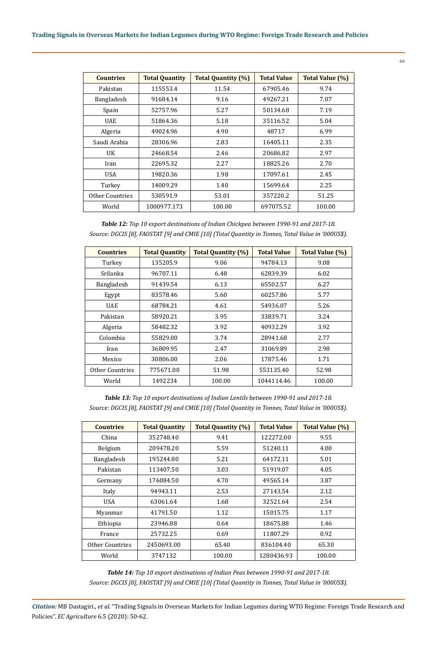# **Trading Signals in Overseas Markets for Indian Legumes during WTO Regime: Foreign Trade Research and Policies**

| <b>Countries</b>       | <b>Total Quantity</b> | <b>Total Quantity (%)</b> | <b>Total Value</b> | Total Value (%) |
|------------------------|-----------------------|---------------------------|--------------------|-----------------|
| Pakistan               | 115553.4              | 11.54                     | 67905.46           | 9.74            |
| Bangladesh             | 91684.14              | 9.16                      | 49267.21           | 7.07            |
| Spain                  | 52757.96              | 5.27                      | 50134.68           | 7.19            |
| <b>UAE</b>             | 51864.36              | 5.18                      | 35116.52           | 5.04            |
| Algeria                | 49024.96              | 4.90                      | 48717              | 6.99            |
| Saudi Arabia           | 28306.96              | 2.83                      | 16405.11           | 2.35            |
| UK                     | 24668.54              | 2.46                      | 20686.82           | 2.97            |
| Iran                   | 22695.32              | 2.27                      | 18825.26           | 2.70            |
| <b>USA</b>             | 19820.36              | 1.98                      | 17097.61           | 2.45            |
| Turkey                 | 14009.29              | 1.40                      | 15699.64           | 2.25            |
| <b>Other Countries</b> | 530591.9              | 53.01                     | 357220.2           | 51.25           |
| World                  | 1000977.173           | 100.00                    | 697075.52          | 100.00          |

*Table 12: Top 10 export destinations of Indian Chickpea between 1990-91 and 2017-18. Source: DGCIS [8], FAOSTAT [9] and CMIE [10] (Total Quantity in Tonnes, Total Value in '000US\$).*

| <b>Countries</b>  | <b>Total Quantity</b> | <b>Total Quantity (%)</b> | <b>Total Value</b> | <b>Total Value (%)</b> |
|-------------------|-----------------------|---------------------------|--------------------|------------------------|
| Turkey            | 135205.9              | 9.06                      | 94784.13           | 9.08                   |
| Srilanka          | 96707.11              | 6.48                      | 62839.39           | 6.02                   |
| <b>Bangladesh</b> | 91439.54              | 6.13                      | 65502.57           | 6.27                   |
| Egypt             | 83578.46              | 5.60                      | 60257.86           | 5.77                   |
| <b>UAE</b>        | 68784.21              | 4.61                      | 54936.07           | 5.26                   |
| Pakistan          | 58920.21              | 3.95                      | 33839.71           | 3.24                   |
| Algeria           | 58482.32              | 3.92                      | 40932.29           | 3.92                   |
| Colombia          | 55829.00              | 3.74                      | 28941.68           | 2.77                   |
| Iran              | 36809.95              | 2.47                      | 31069.89           | 2.98                   |
| Mexico            | 30806.00              | 2.06                      | 17875.46           | 1.71                   |
| Other Countries   | 775671.00             | 51.98                     | 553135.40          | 52.98                  |
| World             | 1492234               | 100.00                    | 1044114.46         | 100.00                 |

*Table 13: Top 10 export destinations of Indian Lentils between 1990-91 and 2017-18. Source: DGCIS [8], FAOSTAT [9] and CMIE [10] (Total Quantity in Tonnes, Total Value in '000US\$).*

| <b>Countries</b> | <b>Total Quantity</b> | <b>Total Quantity (%)</b> | <b>Total Value</b> | Total Value (%) |
|------------------|-----------------------|---------------------------|--------------------|-----------------|
| China            | 352748.40             | 9.41                      | 122272.00          | 9.55            |
| <b>Belgium</b>   | 209478.20             | 5.59                      | 51240.11           | 4.00            |
| Bangladesh       | 195244.80             | 5.21                      | 64172.11           | 5.01            |
| Pakistan         | 113407.50             | 3.03                      | 51919.07           | 4.05            |
| Germany          | 176084.50             | 4.70                      | 49565.14           | 3.87            |
| Italy            | 94943.11              | 2.53                      | 27143.54           | 2.12            |
| USA              | 63061.64              | 1.68                      | 32521.64           | 2.54            |
| Myanmar          | 41791.50              | 1.12                      | 15015.75           | 1.17            |
| Ethiopia         | 23946.88              | 0.64                      | 18675.88           | 1.46            |
| France           | 25732.25              | 0.69                      | 11807.29           | 0.92            |
| Other Countries  | 2450693.00            | 65.40                     | 836104.40          | 65.30           |
| World            | 3747132               | 100.00                    | 1280436.93         | 100.00          |

*Table 14: Top 10 export destinations of Indian Peas between 1990-91 and 2017-18. Source: DGCIS [8], FAOSTAT [9] and CMIE [10] (Total Quantity in Tonnes, Total Value in '000US\$).*

*Citation:* MB Dastagiri., *et al*. "Trading Signals in Overseas Markets for Indian Legumes during WTO Regime: Foreign Trade Research and Policies". *EC Agriculture* 6.5 (2020): 50-62.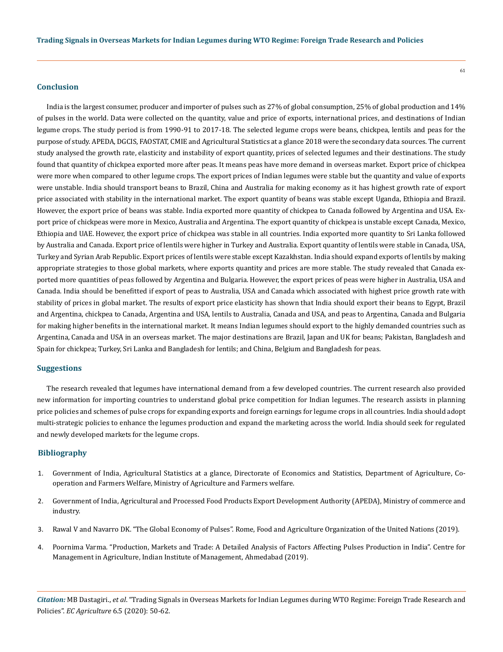## **Conclusion**

India is the largest consumer, producer and importer of pulses such as 27% of global consumption, 25% of global production and 14% of pulses in the world. Data were collected on the quantity, value and price of exports, international prices, and destinations of Indian legume crops. The study period is from 1990-91 to 2017-18. The selected legume crops were beans, chickpea, lentils and peas for the purpose of study. APEDA, DGCIS, FAOSTAT, CMIE and Agricultural Statistics at a glance 2018 were the secondary data sources. The current study analysed the growth rate, elasticity and instability of export quantity, prices of selected legumes and their destinations. The study found that quantity of chickpea exported more after peas. It means peas have more demand in overseas market. Export price of chickpea were more when compared to other legume crops. The export prices of Indian legumes were stable but the quantity and value of exports were unstable. India should transport beans to Brazil, China and Australia for making economy as it has highest growth rate of export price associated with stability in the international market. The export quantity of beans was stable except Uganda, Ethiopia and Brazil. However, the export price of beans was stable. India exported more quantity of chickpea to Canada followed by Argentina and USA. Export price of chickpeas were more in Mexico, Australia and Argentina. The export quantity of chickpea is unstable except Canada, Mexico, Ethiopia and UAE. However, the export price of chickpea was stable in all countries. India exported more quantity to Sri Lanka followed by Australia and Canada. Export price of lentils were higher in Turkey and Australia. Export quantity of lentils were stable in Canada, USA, Turkey and Syrian Arab Republic. Export prices of lentils were stable except Kazakhstan. India should expand exports of lentils by making appropriate strategies to those global markets, where exports quantity and prices are more stable. The study revealed that Canada exported more quantities of peas followed by Argentina and Bulgaria. However, the export prices of peas were higher in Australia, USA and Canada. India should be benefitted if export of peas to Australia, USA and Canada which associated with highest price growth rate with stability of prices in global market. The results of export price elasticity has shown that India should export their beans to Egypt, Brazil and Argentina, chickpea to Canada, Argentina and USA, lentils to Australia, Canada and USA, and peas to Argentina, Canada and Bulgaria for making higher benefits in the international market. It means Indian legumes should export to the highly demanded countries such as Argentina, Canada and USA in an overseas market. The major destinations are Brazil, Japan and UK for beans; Pakistan, Bangladesh and Spain for chickpea; Turkey, Sri Lanka and Bangladesh for lentils; and China, Belgium and Bangladesh for peas.

#### **Suggestions**

The research revealed that legumes have international demand from a few developed countries. The current research also provided new information for importing countries to understand global price competition for Indian legumes. The research assists in planning price policies and schemes of pulse crops for expanding exports and foreign earnings for legume crops in all countries. India should adopt multi-strategic policies to enhance the legumes production and expand the marketing across the world. India should seek for regulated and newly developed markets for the legume crops.

## **Bibliography**

- 1. [Government of India, Agricultural Statistics at a glance, Directorate of Economics and Statistics, Department of Agriculture, Co](https://eands.dacnet.nic.in/)[operation and Farmers Welfare, Ministry of Agriculture and Farmers welfare.](https://eands.dacnet.nic.in/)
- 2. [Government of India, Agricultural and Processed Food Products Export Development Authority \(APEDA\), Ministry of commerce and](http://apeda.gov.in/)  [industry.](http://apeda.gov.in/)
- 3. Rawal V and Navarro DK. "The Global Economy of Pulses". Rome, Food and Agriculture Organization of the United Nations (2019).
- 4. Poornima Varma. "Production, Markets and Trade: A Detailed Analysis of Factors Affecting Pulses Production in India". Centre for Management in Agriculture, Indian Institute of Management, Ahmedabad (2019).